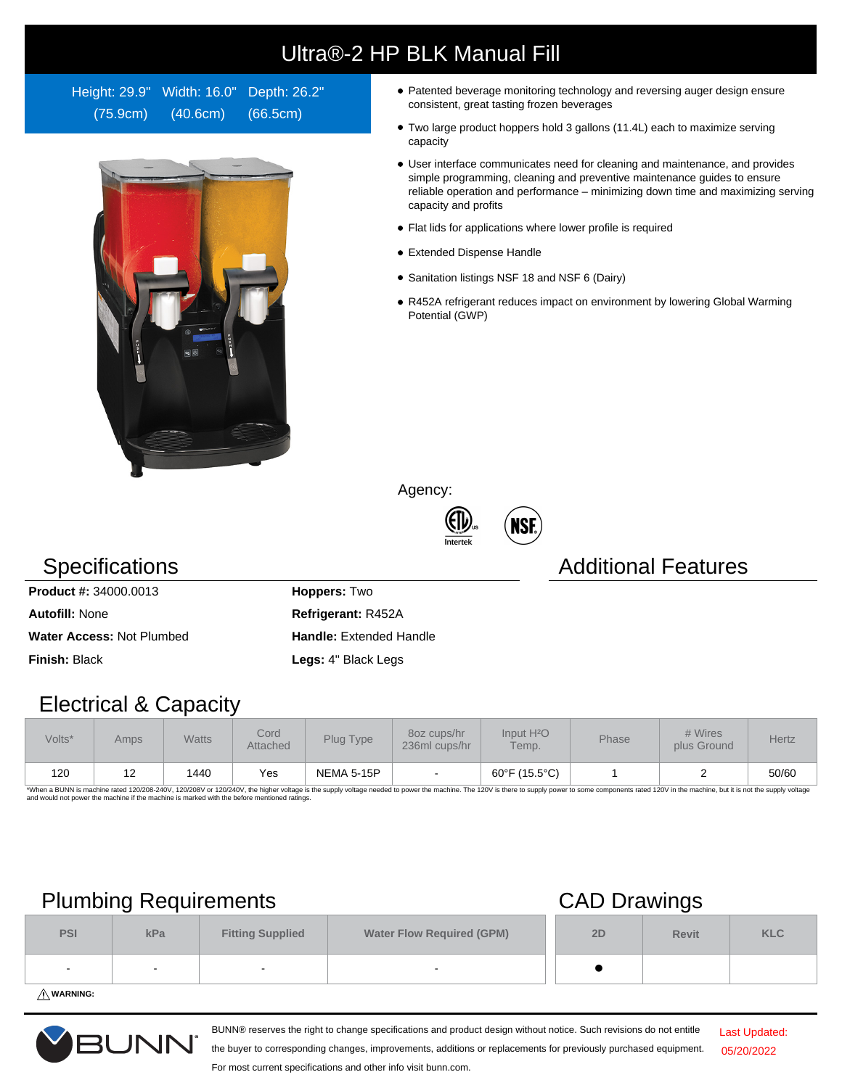# Ultra®-2 HP BLK Manual Fill

Height: 29.9" Width: 16.0" Depth: 26.2" (75.9cm) (40.6cm) (66.5cm)



- Patented beverage monitoring technology and reversing auger design ensure consistent, great tasting frozen beverages
- Two large product hoppers hold 3 gallons (11.4L) each to maximize serving capacity
- User interface communicates need for cleaning and maintenance, and provides simple programming, cleaning and preventive maintenance guides to ensure reliable operation and performance – minimizing down time and maximizing serving capacity and profits
- Flat lids for applications where lower profile is required
- Extended Dispense Handle
- Sanitation listings NSF 18 and NSF 6 (Dairy)
- R452A refrigerant reduces impact on environment by lowering Global Warming Potential (GWP)

Agency:





### **Specifications Additional Features**

**Product #:** 34000.0013 **Hoppers:** Two **Autofill:** None **Refrigerant:** R452A Water Access: Not Plumbed **Handle:** Extended Handle **Finish:** Black **Legs:** 4" Black Legs

### Electrical & Capacity

| Volts* | Amps       | <b>Watts</b> | Cord<br>Attached | Plug Type  | 80z cups/hr<br>236ml cups/hr | Input H <sup>2</sup> O<br>Temp. | Phase | # Wires<br>plus Ground | <b>Hertz</b> |
|--------|------------|--------------|------------------|------------|------------------------------|---------------------------------|-------|------------------------|--------------|
| 120    | . <u>.</u> | 1440         | Yes              | NEMA 5-15P |                              | 60°F (15.5°C)                   |       |                        | 50/60        |

\*When a BUNN is machine rated 120/208-240V, 120/208V or 120/240V, the higher voltage is the supply voltage needed to power the machine. The 120V is there to supply power to some components rated 120V in the machine, but it

## Plumbing Requirements CAD Drawings

|                         | --  |                         | -                                |    |              |            |
|-------------------------|-----|-------------------------|----------------------------------|----|--------------|------------|
| <b>PSI</b>              | kPa | <b>Fitting Supplied</b> | <b>Water Flow Required (GPM)</b> | 2D | <b>Revit</b> | <b>KLC</b> |
|                         |     |                         |                                  |    |              |            |
| $\lambda$ and $\lambda$ |     |                         |                                  |    |              |            |

**WARNING:**



BUNN® reserves the right to change specifications and product design without notice. Such revisions do not entitle

Last Updated: 05/20/2022

the buyer to corresponding changes, improvements, additions or replacements for previously purchased equipment. For most current specifications and other info visit bunn.com.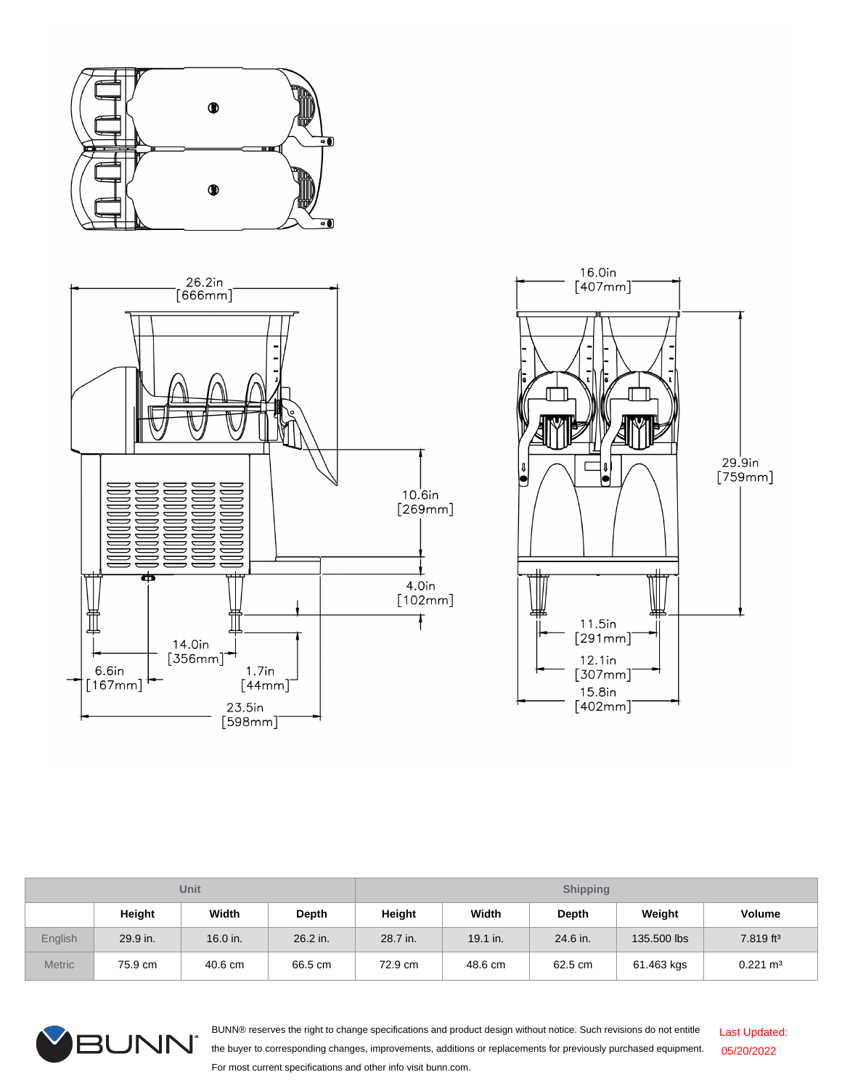





| Unit          |          |          |          | <b>Shipping</b> |          |          |             |                       |  |
|---------------|----------|----------|----------|-----------------|----------|----------|-------------|-----------------------|--|
|               | Height   | Width    | Depth    | Height          | Width    | Depth    | Weight      | Volume                |  |
| English       | 29.9 in. | 16.0 in. | 26.2 in. | 28.7 in.        | 19.1 in. | 24.6 in. | 135.500 lbs | 7.819 ft <sup>3</sup> |  |
| <b>Metric</b> | 75.9 cm  | 40.6 cm  | 66.5 cm  | 72.9 cm         | 48.6 cm  | 62.5 cm  | 61.463 kgs  | $0.221 \text{ m}^3$   |  |



BUNN® reserves the right to change specifications and product design without notice. Such revisions do not entitle the buyer to corresponding changes, improvements, additions or replacements for previously purchased equipment. For most current specifications and other info visit bunn.com. Last Updated: 05/20/2022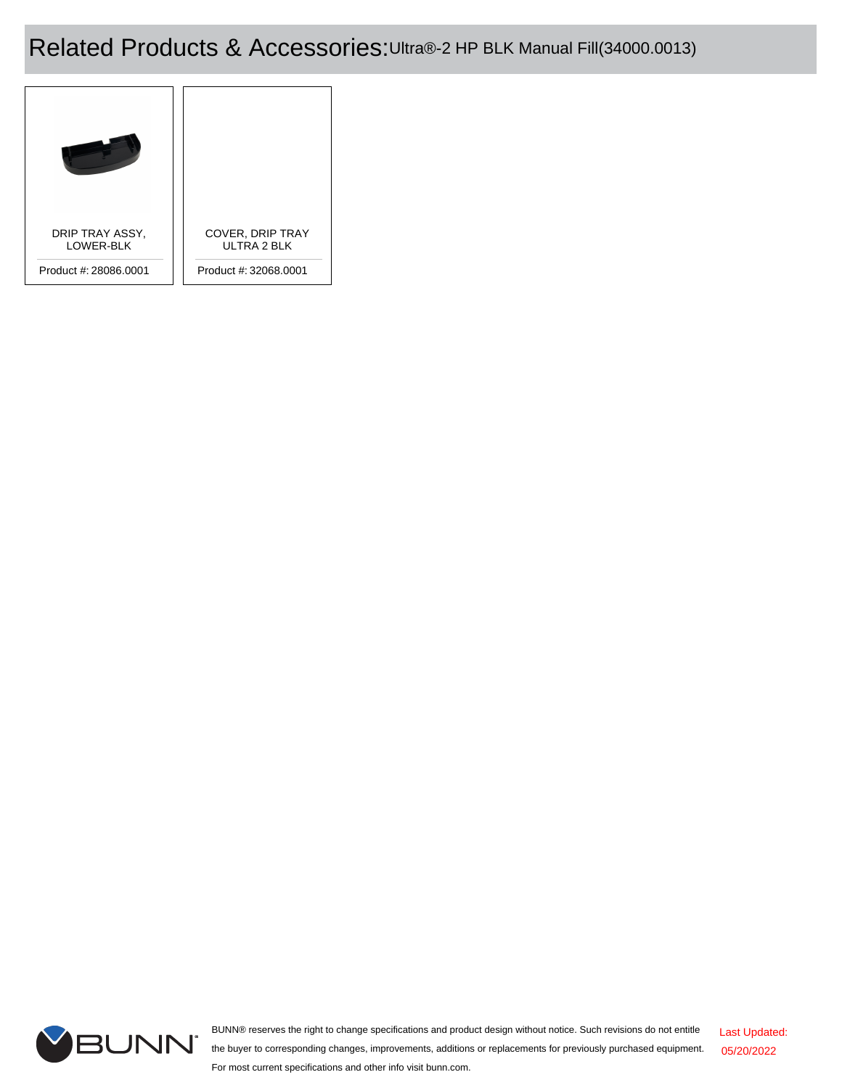# Related Products & Accessories:Ultra®-2 HP BLK Manual Fill(34000.0013)